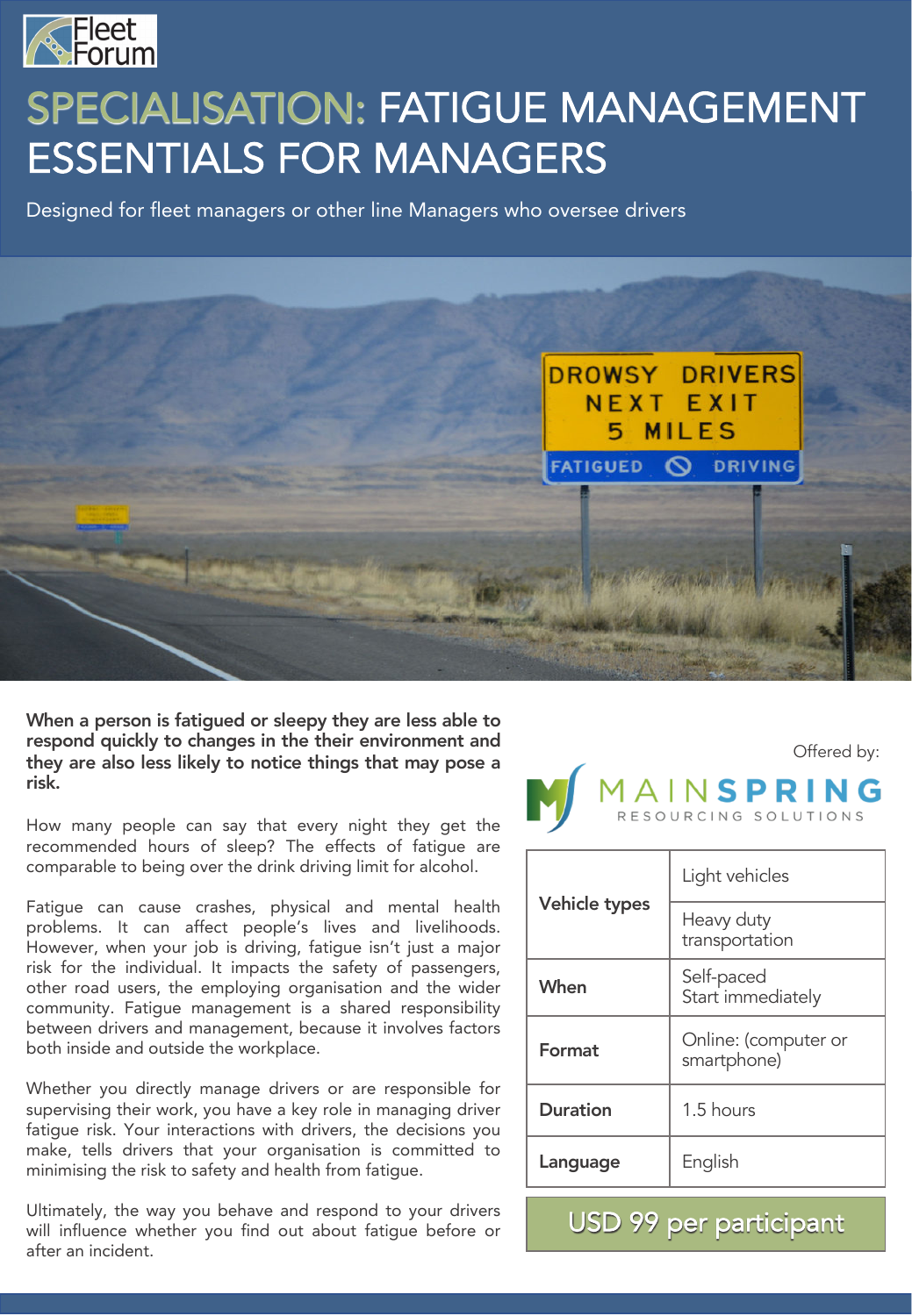

# SPECIALISATION: FATIGUE MANAGEMENT ESSENTIALS FOR MANAGERS

Designed for fleet managers or other line Managers who oversee drivers



When a person is fatigued or sleepy they are less able to respond quickly to changes in the their environment and they are also less likely to notice things that may pose a risk.

How many people can say that every night they get the recommended hours of sleep? The effects of fatigue are comparable to being over the drink driving limit for alcohol.

Fatigue can cause crashes, physical and mental health problems. It can affect people's lives and livelihoods. However, when your job is driving, fatigue isn't just a major risk for the individual. It impacts the safety of passengers, other road users, the employing organisation and the wider community. Fatigue management is a shared responsibility between drivers and management, because it involves factors both inside and outside the workplace.

Whether you directly manage drivers or are responsible for supervising their work, you have a key role in managing driver fatigue risk. Your interactions with drivers, the decisions you make, tells drivers that your organisation is committed to minimising the risk to safety and health from fatigue.

Ultimately, the way you behave and respond to your drivers will influence whether you find out about fatigue before or after an incident.

Offered by: **AINSPRING** 

| Vehicle types   | Light vehicles                      |
|-----------------|-------------------------------------|
|                 | Heavy duty<br>transportation        |
| When            | Self-paced<br>Start immediately     |
| Format          | Online: (computer or<br>smartphone) |
| <b>Duration</b> | 1.5 hours                           |
| Language        | English                             |

USD 99 per participant